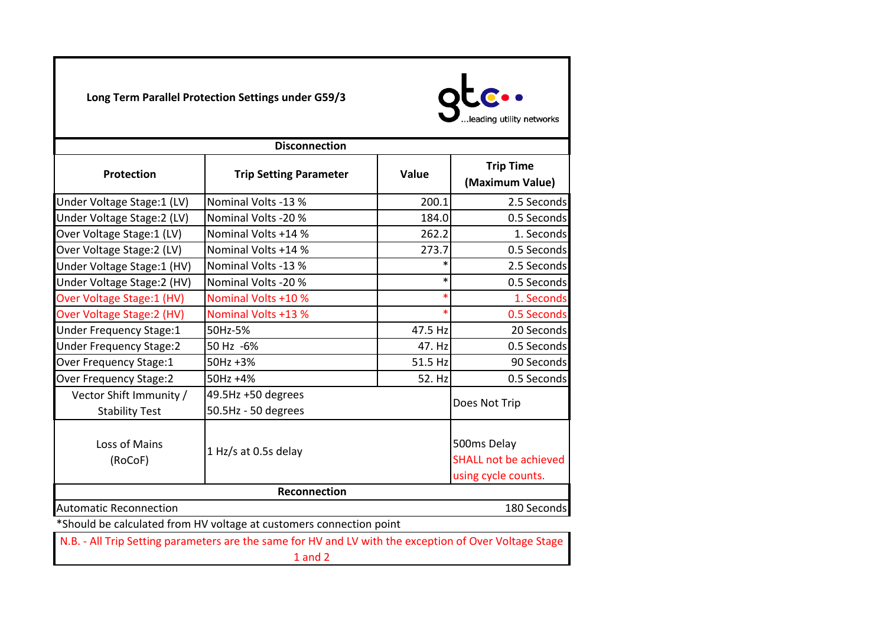**Long Term Parallel Protection Settings under G59/3**



| <b>Disconnection</b>           |                                                                                                        |         |                                                                    |  |
|--------------------------------|--------------------------------------------------------------------------------------------------------|---------|--------------------------------------------------------------------|--|
| Protection                     | <b>Trip Setting Parameter</b>                                                                          | Value   | <b>Trip Time</b><br>(Maximum Value)                                |  |
| Under Voltage Stage: 1 (LV)    | Nominal Volts -13 %                                                                                    | 200.1   | 2.5 Seconds                                                        |  |
| Under Voltage Stage: 2 (LV)    | Nominal Volts -20 %                                                                                    | 184.0   | 0.5 Seconds                                                        |  |
| Over Voltage Stage: 1 (LV)     | Nominal Volts +14 %                                                                                    | 262.2   | 1. Seconds                                                         |  |
| Over Voltage Stage: 2 (LV)     | Nominal Volts +14 %                                                                                    | 273.7   | 0.5 Seconds                                                        |  |
| Under Voltage Stage:1 (HV)     | Nominal Volts -13 %                                                                                    | $\ast$  | 2.5 Seconds                                                        |  |
| Under Voltage Stage: 2 (HV)    | Nominal Volts -20 %                                                                                    | $\ast$  | 0.5 Seconds                                                        |  |
| Over Voltage Stage: 1 (HV)     | Nominal Volts +10 %                                                                                    | $\ast$  | 1. Seconds                                                         |  |
| Over Voltage Stage: 2 (HV)     | <b>Nominal Volts +13 %</b>                                                                             | $\ast$  | 0.5 Seconds                                                        |  |
| <b>Under Frequency Stage:1</b> | 50Hz-5%                                                                                                | 47.5 Hz | 20 Seconds                                                         |  |
| <b>Under Frequency Stage:2</b> | 50 Hz -6%                                                                                              | 47. Hz  | 0.5 Seconds                                                        |  |
| Over Frequency Stage:1         | 50Hz +3%                                                                                               | 51.5 Hz | 90 Seconds                                                         |  |
| Over Frequency Stage:2         | 50Hz +4%                                                                                               | 52. Hz  | 0.5 Seconds                                                        |  |
| Vector Shift Immunity /        | 49.5Hz +50 degrees                                                                                     |         | Does Not Trip                                                      |  |
| <b>Stability Test</b>          | 50.5Hz - 50 degrees                                                                                    |         |                                                                    |  |
| Loss of Mains<br>(RoCoF)       | 1 Hz/s at 0.5s delay                                                                                   |         | 500ms Delay<br><b>SHALL not be achieved</b><br>using cycle counts. |  |
|                                | <b>Reconnection</b>                                                                                    |         |                                                                    |  |
| <b>Automatic Reconnection</b>  |                                                                                                        |         | 180 Seconds                                                        |  |
|                                | *Should be calculated from HV voltage at customers connection point                                    |         |                                                                    |  |
|                                | N.B. - All Trip Setting parameters are the same for HV and LV with the exception of Over Voltage Stage |         |                                                                    |  |

1 and 2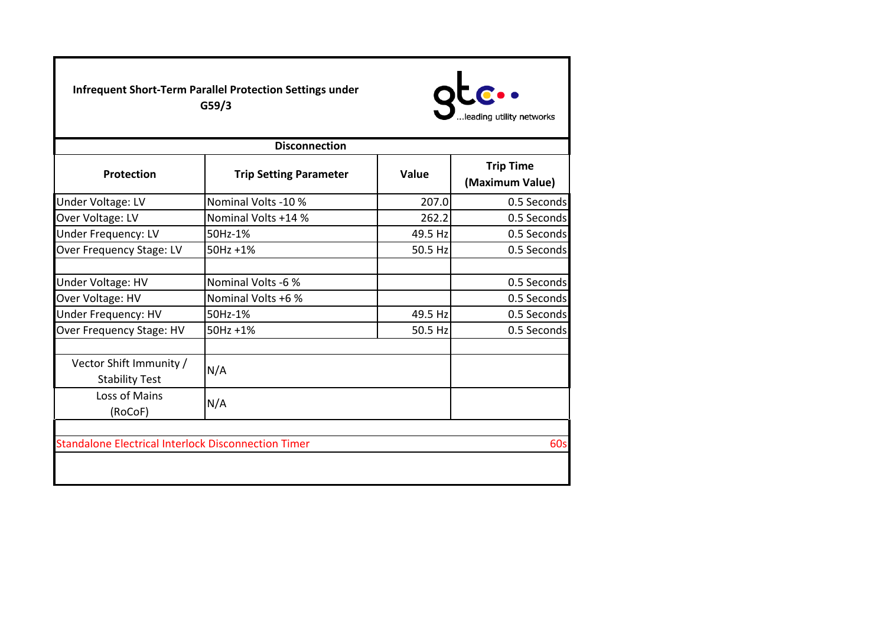**Infrequent Short-Term Parallel Protection Settings under G59/3**



| <b>Disconnection</b>                                       |                               |              |                                     |  |
|------------------------------------------------------------|-------------------------------|--------------|-------------------------------------|--|
| <b>Protection</b>                                          | <b>Trip Setting Parameter</b> | <b>Value</b> | <b>Trip Time</b><br>(Maximum Value) |  |
| Under Voltage: LV                                          | Nominal Volts -10 %           | 207.0        | 0.5 Seconds                         |  |
| Over Voltage: LV                                           | Nominal Volts +14 %           | 262.2        | 0.5 Seconds                         |  |
| <b>Under Frequency: LV</b>                                 | 50Hz-1%                       | 49.5 Hz      | 0.5 Seconds                         |  |
| Over Frequency Stage: LV                                   | 50Hz +1%                      | 50.5 Hz      | 0.5 Seconds                         |  |
| Under Voltage: HV                                          | Nominal Volts -6 %            |              | 0.5 Seconds                         |  |
| Over Voltage: HV                                           | Nominal Volts +6 %            |              | 0.5 Seconds                         |  |
| Under Frequency: HV                                        | 50Hz-1%                       | 49.5 Hz      | 0.5 Seconds                         |  |
| Over Frequency Stage: HV                                   | 50Hz +1%                      | 50.5 Hz      | 0.5 Seconds                         |  |
| Vector Shift Immunity /<br><b>Stability Test</b>           | N/A                           |              |                                     |  |
| Loss of Mains<br>(RoCoF)                                   | N/A                           |              |                                     |  |
|                                                            |                               |              |                                     |  |
| <b>Standalone Electrical Interlock Disconnection Timer</b> |                               |              | <b>60s</b>                          |  |